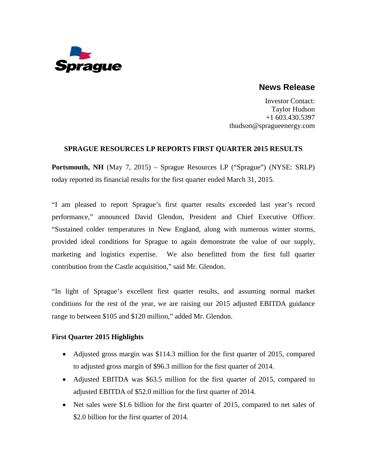

# **News Release**

Investor Contact: Taylor Hudson +1 603.430.5397 thudson@spragueenergy.com

# **SPRAGUE RESOURCES LP REPORTS FIRST QUARTER 2015 RESULTS**

**Portsmouth, NH** (May 7, 2015) – Sprague Resources LP ("Sprague") (NYSE: SRLP) today reported its financial results for the first quarter ended March 31, 2015.

"I am pleased to report Sprague's first quarter results exceeded last year's record performance," announced David Glendon, President and Chief Executive Officer. "Sustained colder temperatures in New England, along with numerous winter storms, provided ideal conditions for Sprague to again demonstrate the value of our supply, marketing and logistics expertise. We also benefitted from the first full quarter contribution from the Castle acquisition," said Mr. Glendon.

"In light of Sprague's excellent first quarter results, and assuming normal market conditions for the rest of the year, we are raising our 2015 adjusted EBITDA guidance range to between \$105 and \$120 million," added Mr. Glendon.

# **First Quarter 2015 Highlights**

- Adjusted gross margin was \$114.3 million for the first quarter of 2015, compared to adjusted gross margin of \$96.3 million for the first quarter of 2014.
- Adjusted EBITDA was \$63.5 million for the first quarter of 2015, compared to adjusted EBITDA of \$52.0 million for the first quarter of 2014.
- Net sales were \$1.6 billion for the first quarter of 2015, compared to net sales of \$2.0 billion for the first quarter of 2014.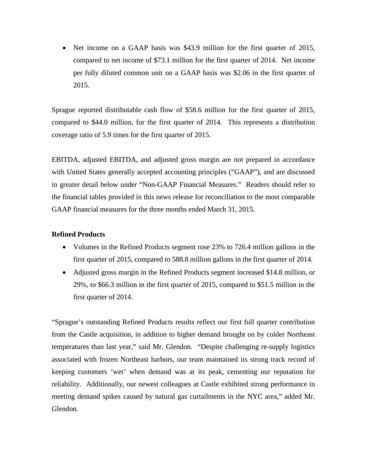• Net income on a GAAP basis was \$43.9 million for the first quarter of 2015, compared to net income of \$73.1 million for the first quarter of 2014. Net income per fully diluted common unit on a GAAP basis was \$2.06 in the first quarter of 2015.

Sprague reported distributable cash flow of \$58.6 million for the first quarter of 2015, compared to \$44.0 million, for the first quarter of 2014. This represents a distribution coverage ratio of 5.9 times for the first quarter of 2015.

EBITDA, adjusted EBITDA, and adjusted gross margin are not prepared in accordance with United States generally accepted accounting principles ("GAAP"), and are discussed in greater detail below under "Non-GAAP Financial Measures." Readers should refer to the financial tables provided in this news release for reconciliation to the most comparable GAAP financial measures for the three months ended March 31, 2015.

# **Refined Products**

- Volumes in the Refined Products segment rose 23% to 726.4 million gallons in the first quarter of 2015, compared to 588.8 million gallons in the first quarter of 2014.
- Adjusted gross margin in the Refined Products segment increased \$14.8 million, or 29%, to \$66.3 million in the first quarter of 2015, compared to \$51.5 million in the first quarter of 2014.

"Sprague's outstanding Refined Products results reflect our first full quarter contribution from the Castle acquisition, in addition to higher demand brought on by colder Northeast temperatures than last year," said Mr. Glendon. "Despite challenging re-supply logistics associated with frozen Northeast harbors, our team maintained its strong track record of keeping customers 'wet' when demand was at its peak, cementing our reputation for reliability. Additionally, our newest colleagues at Castle exhibited strong performance in meeting demand spikes caused by natural gas curtailments in the NYC area," added Mr. Glendon.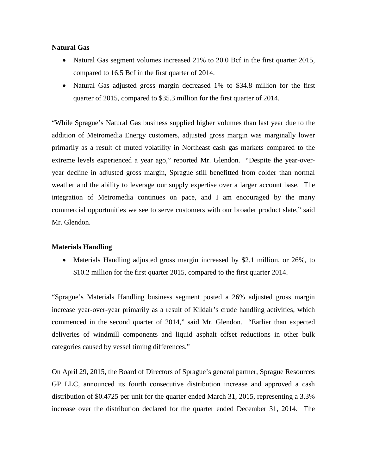#### **Natural Gas**

- Natural Gas segment volumes increased 21% to 20.0 Bcf in the first quarter 2015, compared to 16.5 Bcf in the first quarter of 2014.
- Natural Gas adjusted gross margin decreased 1% to \$34.8 million for the first quarter of 2015, compared to \$35.3 million for the first quarter of 2014.

"While Sprague's Natural Gas business supplied higher volumes than last year due to the addition of Metromedia Energy customers, adjusted gross margin was marginally lower primarily as a result of muted volatility in Northeast cash gas markets compared to the extreme levels experienced a year ago," reported Mr. Glendon. "Despite the year-overyear decline in adjusted gross margin, Sprague still benefitted from colder than normal weather and the ability to leverage our supply expertise over a larger account base. The integration of Metromedia continues on pace, and I am encouraged by the many commercial opportunities we see to serve customers with our broader product slate," said Mr. Glendon.

# **Materials Handling**

• Materials Handling adjusted gross margin increased by \$2.1 million, or 26%, to \$10.2 million for the first quarter 2015, compared to the first quarter 2014.

"Sprague's Materials Handling business segment posted a 26% adjusted gross margin increase year-over-year primarily as a result of Kildair's crude handling activities, which commenced in the second quarter of 2014," said Mr. Glendon. "Earlier than expected deliveries of windmill components and liquid asphalt offset reductions in other bulk categories caused by vessel timing differences."

On April 29, 2015, the Board of Directors of Sprague's general partner, Sprague Resources GP LLC, announced its fourth consecutive distribution increase and approved a cash distribution of \$0.4725 per unit for the quarter ended March 31, 2015, representing a 3.3% increase over the distribution declared for the quarter ended December 31, 2014. The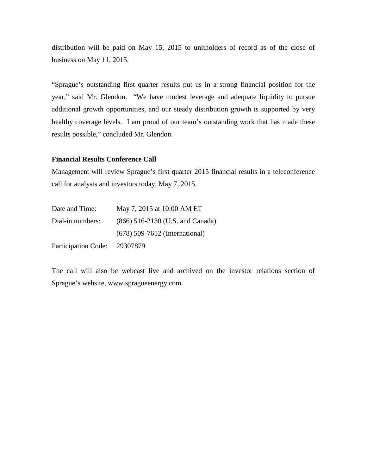distribution will be paid on May 15, 2015 to unitholders of record as of the close of business on May 11, 2015.

"Sprague's outstanding first quarter results put us in a strong financial position for the year," said Mr. Glendon. "We have modest leverage and adequate liquidity to pursue additional growth opportunities, and our steady distribution growth is supported by very healthy coverage levels. I am proud of our team's outstanding work that has made these results possible," concluded Mr. Glendon.

#### **Financial Results Conference Call**

Management will review Sprague's first quarter 2015 financial results in a teleconference call for analysts and investors today, May 7, 2015.

| Date and Time:             | May 7, 2015 at 10:00 AM ET       |
|----------------------------|----------------------------------|
| Dial-in numbers:           | (866) 516-2130 (U.S. and Canada) |
|                            | $(678)$ 509-7612 (International) |
| <b>Participation Code:</b> | 29307879                         |

The call will also be webcast live and archived on the investor relations section of Sprague's website, [www.spragueenergy.com.](http://www.spragueenergy.com/)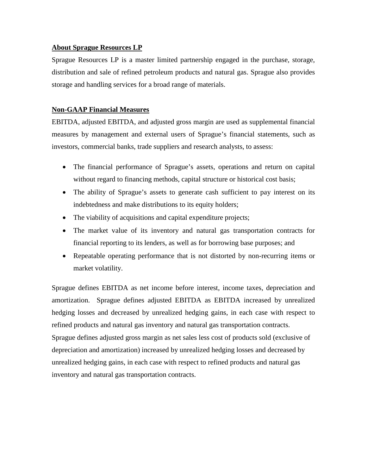# **About Sprague Resources LP**

Sprague Resources LP is a master limited partnership engaged in the purchase, storage, distribution and sale of refined petroleum products and natural gas. Sprague also provides storage and handling services for a broad range of materials.

# **Non-GAAP Financial Measures**

EBITDA, adjusted EBITDA, and adjusted gross margin are used as supplemental financial measures by management and external users of Sprague's financial statements, such as investors, commercial banks, trade suppliers and research analysts, to assess:

- The financial performance of Sprague's assets, operations and return on capital without regard to financing methods, capital structure or historical cost basis;
- The ability of Sprague's assets to generate cash sufficient to pay interest on its indebtedness and make distributions to its equity holders;
- The viability of acquisitions and capital expenditure projects;
- The market value of its inventory and natural gas transportation contracts for financial reporting to its lenders, as well as for borrowing base purposes; and
- Repeatable operating performance that is not distorted by non-recurring items or market volatility.

Sprague defines EBITDA as net income before interest, income taxes, depreciation and amortization. Sprague defines adjusted EBITDA as EBITDA increased by unrealized hedging losses and decreased by unrealized hedging gains, in each case with respect to refined products and natural gas inventory and natural gas transportation contracts. Sprague defines adjusted gross margin as net sales less cost of products sold (exclusive of depreciation and amortization) increased by unrealized hedging losses and decreased by unrealized hedging gains, in each case with respect to refined products and natural gas inventory and natural gas transportation contracts.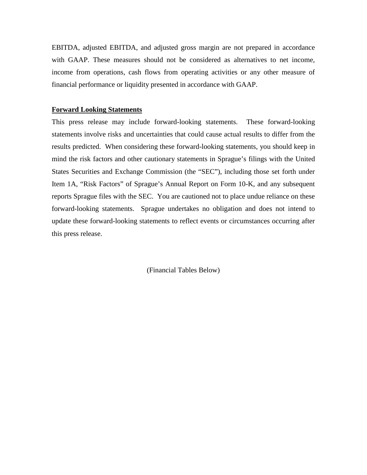EBITDA, adjusted EBITDA, and adjusted gross margin are not prepared in accordance with GAAP. These measures should not be considered as alternatives to net income, income from operations, cash flows from operating activities or any other measure of financial performance or liquidity presented in accordance with GAAP.

#### **Forward Looking Statements**

This press release may include forward-looking statements. These forward-looking statements involve risks and uncertainties that could cause actual results to differ from the results predicted. When considering these forward-looking statements, you should keep in mind the risk factors and other cautionary statements in Sprague's filings with the United States Securities and Exchange Commission (the "SEC"), including those set forth under Item 1A, "Risk Factors" of Sprague's Annual Report on Form 10-K, and any subsequent reports Sprague files with the SEC. You are cautioned not to place undue reliance on these forward-looking statements. Sprague undertakes no obligation and does not intend to update these forward-looking statements to reflect events or circumstances occurring after this press release.

(Financial Tables Below)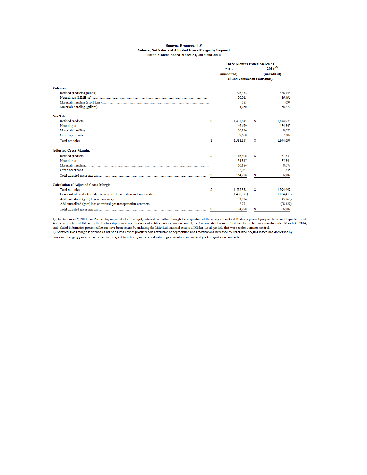#### **Sprague Resources LP** Volume, Net Sales and Adjusted Gross Margin by Segment<br>Three Months Ended March 31, 2015 and 2014

|                                              | <b>Three Months Ended March 31.</b> |                               |             |  |
|----------------------------------------------|-------------------------------------|-------------------------------|-------------|--|
|                                              | 2015                                | $2014^{(1)}$                  |             |  |
|                                              | (unaudited)                         |                               | (unaudited) |  |
|                                              |                                     | (\$ and volumes in thousands) |             |  |
| <b>Volumes:</b>                              |                                     |                               |             |  |
|                                              | 726,432                             |                               | 588,756     |  |
|                                              | 20,013                              |                               | 16,496      |  |
|                                              | 585                                 |                               | 694         |  |
|                                              | 74,760                              |                               | 66.822      |  |
| <b>Net Sales:</b>                            |                                     |                               |             |  |
|                                              | 1.431.845                           | s                             | 1.844.973   |  |
|                                              | 146,679                             |                               | 134,340     |  |
|                                              | 10.184                              |                               | 8,079       |  |
|                                              | 9.650                               |                               | 7,307       |  |
|                                              | 1,598,358                           | S.                            | 1,994,699   |  |
| Adjusted Gross Margin: (2)                   |                                     |                               |             |  |
|                                              | 66,306                              | s                             | 51.530      |  |
|                                              | 34,817                              |                               | 35.344      |  |
|                                              | 10.184                              |                               | 8,077       |  |
|                                              | 2,983                               |                               | 1.336       |  |
|                                              | 114.290                             | S.                            | 96.287      |  |
| <b>Calculation of Adjusted Gross Margin:</b> |                                     |                               |             |  |
|                                              | 1.598.358                           | s                             | 1.994.699   |  |
|                                              | (1,490,373)                         |                               | (1,864,419) |  |
|                                              | 3.534                               |                               | (5.866)     |  |
|                                              | 2,771                               |                               | (28, 127)   |  |
|                                              | 114,290                             | \$.                           | 96.287      |  |

1) On December 9, 2014, the Partnership acquired all of the equity interests in Kildair through the acquisition of the equity interests of Kildair's parent Sprague Canadian Properties LLC.<br>As the acquisition of Kildair by unrealized hedging gains, in each case with respect to refined products and natural gas inventory and natural gas transportation contracts.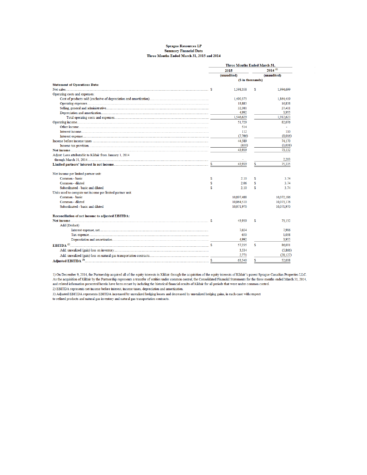#### **Sprague Resources LP Summary Financial Data** Three Months Ended March 31, 2015 and 2014

|                                                            |    | <b>Three Months Ended March 31,</b> |                   |              |  |
|------------------------------------------------------------|----|-------------------------------------|-------------------|--------------|--|
|                                                            |    | 2015                                |                   | $2014^{(1)}$ |  |
|                                                            |    | (unaudited)                         |                   | (unaudited)  |  |
|                                                            |    |                                     | (\$ in thousands) |              |  |
| <b>Statement of Operations Data:</b>                       |    |                                     |                   |              |  |
|                                                            |    | 1,598,358                           | s                 | 1.994,699    |  |
| Operating costs and expenses:                              |    |                                     |                   |              |  |
|                                                            |    | 1,490,373                           |                   | 1,864,419    |  |
|                                                            |    | 18,883                              |                   | 16,838       |  |
|                                                            |    | 32,381                              |                   | 27,411       |  |
|                                                            |    | 4,992                               |                   | 3.955        |  |
|                                                            |    | 1,546,629                           |                   | 1,912,623    |  |
|                                                            |    | 51.729                              |                   | 82,076       |  |
|                                                            |    | 514                                 |                   |              |  |
|                                                            |    | 112                                 |                   | 110          |  |
|                                                            |    | (7,766)                             |                   | (8.016)      |  |
|                                                            |    | 44.589                              |                   | 74,170       |  |
|                                                            |    | (650)                               |                   | (1,038)      |  |
|                                                            |    | 43.939                              |                   | 73,132       |  |
| Adjust: Loss attributable to Kildair from January 1, 2014  |    |                                     |                   |              |  |
|                                                            |    |                                     |                   | 2.203        |  |
|                                                            |    | 43.939                              | S.                | 75.335       |  |
|                                                            |    |                                     |                   |              |  |
| Net income per limited partner unit:                       |    |                                     |                   |              |  |
| Common - basic                                             | \$ | 2.10                                | s                 | 3.74         |  |
| Common - diluted                                           | \$ | 2.06                                | \$                | 3.74         |  |
| Subordinated - basic and diluted                           | S  | 2.10                                | S.                | 3.74         |  |
| Units used to compute net income per limited partner unit: |    |                                     |                   |              |  |
| Common - basic                                             |    | 10,897,488                          |                   | 10,072,186   |  |
| Common - diluted                                           |    | 10,064,510                          |                   | 10,073,176   |  |
| Subordinated - basic and diluted                           |    | 10.071.970                          |                   | 10,071,970   |  |
| <b>Reconciliation of net income to adjusted EBITDA:</b>    |    |                                     |                   |              |  |
|                                                            |    | 43,939                              | s                 | 73,132       |  |
| Add/(Deduct):                                              |    |                                     |                   |              |  |
|                                                            |    | 7.654                               |                   | 7.906        |  |
|                                                            |    | 650                                 |                   | 1,038        |  |
|                                                            |    | 4.992                               |                   | 3,955        |  |
|                                                            |    |                                     |                   |              |  |
| EBITDA <sup>(2)</sup>                                      |    | 57.235                              | S.                | 86,031       |  |
|                                                            |    | 3,534                               |                   | (5,866)      |  |
|                                                            |    | 2,771                               |                   | (28, 127)    |  |
| Adjusted EBITDA <sup>(3)</sup> .                           | s  | 63.540                              | \$                | 52,038       |  |

1) On December 9, 2014, the Partnership acquired all of the equity interests in Kildair through the acquisition of the equity interests of Kildair's parent Sprague Canadian Properties LLC.<br>As the acquisition of Kildair by and related information presented herein have been recast by including the historical financial results of Kildair for all periods that were under common control.

2) EBITDA represents net income before interest, income taxes, depreciation and amortization.

2) Adjusted EBITDA represents EBITDA increased by unrealized hedging losses and decreased by unrealized hedging gains, in each case with respect to refined products and natural gas inventory and natural gas transportation